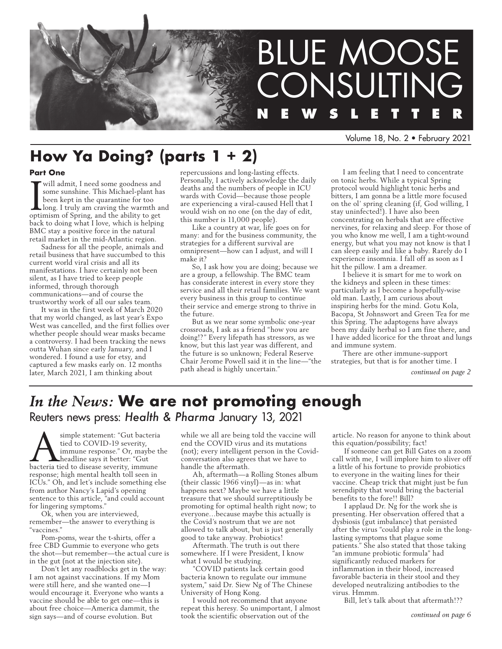

Volume 18, No. 2 • February 2021

# **How Ya Doing? (parts 1 + 2)**

### **Part One**

**I** will admit, I need some goodness and some sunshine. This Michael-plant has been kept in the quarantine for too long. I truly am craving the warmth are optimism of Spring, and the ability to get some sunshine. This Michael-plant has been kept in the quarantine for too long. I truly am craving the warmth and back to doing what I love, which is helping BMC stay a positive force in the natural retail market in the mid-Atlantic region.

Sadness for all the people, animals and retail business that have succumbed to this current world viral crisis and all its manifestations. I have certainly not been silent, as I have tried to keep people informed, through thorough communications—and of course the trustworthy work of all our sales team.

It was in the first week of March 2020 that my world changed, as last year's Expo West was cancelled, and the first follies over whether people should wear masks became a controversy. I had been tracking the news outta Wuhan since early January, and I wondered. I found a use for etsy, and captured a few masks early on. 12 months later, March 2021, I am thinking about

repercussions and long-lasting effects. Personally, I actively acknowledge the daily deaths and the numbers of people in ICU wards with Covid—because those people are experiencing a viral-caused Hell that I would wish on no one (on the day of edit, this number is 11,000 people).

Like a country at war, life goes on for many: and for the business community, the strategies for a different survival are omnipresent—how can I adjust, and will I make it?

So, I ask how you are doing; because we are a group, a fellowship. The BMC team has considerate interest in every store they service and all their retail families. We want every business in this group to continue their service and emerge strong to thrive in the future.

But as we near some symbolic one-year crossroads, I ask as a friend "how you are doing!?" Every lifepath has stressors, as we know, but this last year was different, and the future is so unknown; Federal Reserve Chair Jerome Powell said it in the line—"the path ahead is highly uncertain."

I am feeling that I need to concentrate on tonic herbs. While a typical Spring protocol would highlight tonic herbs and bitters, I am gonna be a little more focused on the ol' spring cleaning (if, God willing, I stay uninfected!). I have also been concentrating on herbals that are effective nervines, for relaxing and sleep. For those of you who know me well, I am a tight-wound energy, but what you may not know is that I can sleep easily and like a baby. Rarely do I experience insomnia. I fall off as soon as I hit the pillow. I am a dreamer.

I believe it is smart for me to work on the kidneys and spleen in these times: particularly as I become a hopefully-wise old man. Lastly, I am curious about inspiring herbs for the mind. Gotu Kola, Bacopa, St Johnswort and Green Tea for me this Spring. The adaptogens have always been my daily herbal so I am fine there, and I have added licorice for the throat and lungs and immune system.

There are other immune-support strategies, but that is for another time. I

*continued on page 2*

# *In the News:* **We are not promoting enough** Reuters news press: *Health & Pharma* January 13, 2021

Simple statement: "Gut bacteria"<br>tied to COVID-19 severity,<br>immune response." Or, maybe the<br>headline says it better: "Gut<br>bacteria tied to disease severity. immune tied to COVID-19 severity, immune response." Or, maybe the headline says it better: "Gut bacteria tied to disease severity, immune response; high mental health toll seen in ICUs." Oh, and let's include something else from author Nancy's Lapid's opening sentence to this article, "and could account for lingering symptoms."

Ok, when you are interviewed, remember—the answer to everything is "vaccines."

Pom-poms, wear the t-shirts, offer a free CBD Gummie to everyone who gets the shot—but remember—the actual cure is in the gut (not at the injection site).

Don't let any roadblocks get in the way: I am not against vaccinations. If my Mom were still here, and she wanted one—I would encourage it. Everyone who wants a vaccine should be able to get one—this is about free choice—America dammit, the sign says—and of course evolution. But

while we all are being told the vaccine will end the COVID virus and its mutations (not); every intelligent person in the Covidconversation also agrees that we have to handle the aftermath.

Ah, aftermath—a Rolling Stones album (their classic 1966 vinyl)—as in: what happens next? Maybe we have a little treasure that we should surreptitiously be promoting for optimal health right now; to everyone…because maybe this actually is the Covid's nostrum that we are not allowed to talk about, but is just generally good to take anyway. Probiotics!

Aftermath. The truth is out there somewhere. If I were President, I know what I would be studying.

"COVID patients lack certain good bacteria known to regulate our immune system," said Dr. Siew Ng of The Chinese University of Hong Kong.

I would not recommend that anyone repeat this heresy. So unimportant, I almost took the scientific observation out of the

article. No reason for anyone to think about this equation/possibility; fact!

If someone can get Bill Gates on a zoom call with me, I will implore him to sliver off a little of his fortune to provide probiotics to everyone in the waiting lines for their vaccine. Cheap trick that might just be fun serendipity that would bring the bacterial benefits to the fore!! Bill?

I applaud Dr. Ng for the work she is presenting. Her observation offered that a dysbiosis (gut imbalance) that persisted after the virus "could play a role in the longlasting symptoms that plague some patients." She also stated that those taking "an immune probiotic formula" had significantly reduced markers for inflammation in their blood, increased favorable bacteria in their stool and they developed neutralizing antibodies to the virus. Hmmm.

Bill, let's talk about that aftermath!??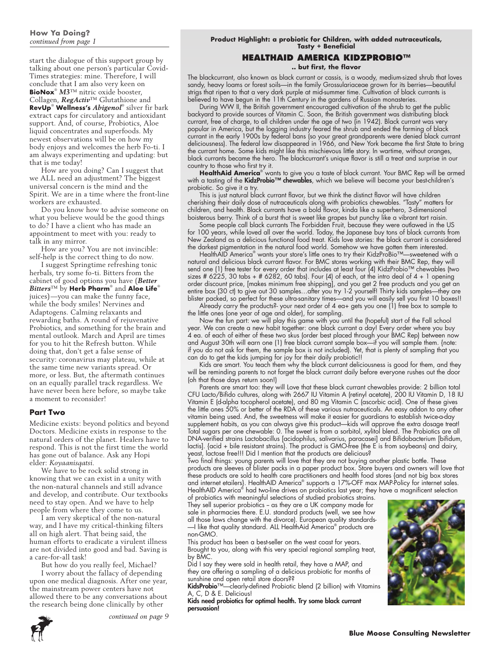start the dialogue of this support group by talking about one person's particular Covid-Times strategies: mine. Therefore, I will conclude that I am also very keen on **BioNox**® *M3*™ nitric oxide booster, Collagen, *RegActiv*™ Glutathione and **RevUp**®  **Wellness's** *Abigenol*® silver fir bark extract caps for circulatory and antioxidant support. And, of course, Probiotics, Aloe liquid concentrates and superfoods. My newest observations will be on how my body enjoys and welcomes the herb Fo-ti. I am always experimenting and updating: but that is me today!

How are you doing? Can I suggest that we ALL need an adjustment? The biggest universal concern is the mind and the Spirit. We are in a time where the front-line workers are exhausted.

Do you know how to advise someone on what you believe would be the good things to do? I have a client who has made an appointment to meet with you: ready to talk in any mirror.

How are you? You are not invincible: self-help is the correct thing to do now.

I suggest Springtime refreshing tonic herbals, try some fo-ti. Bitters from the cabinet of good options you have (*Better Bitters*™ by **Herb Pharm**® and **Aloe Life**® juices)—you can make the funny face, while the body smiles! Nervines and Adaptogens. Calming relaxants and rewarding baths. A round of rejuvenative Probiotics, and something for the brain and mental outlook. March and April are times for you to hit the Refresh button. While doing that, don't get a false sense of security: coronavirus may plateau, while at the same time new variants spread. Or more, or less. But, the aftermath continues on an equally parallel track regardless. We have never been here before, so maybe take a moment to reconsider!

### **Part Two**

Medicine exists: beyond politics and beyond Doctors. Medicine exists in response to the natural orders of the planet. Healers have to respond. This is not the first time the world has gone out of balance. Ask any Hopi elder: *Koyaanisqatsi.*

We have to be rock solid strong in knowing that we can exist in a unity with the non-natural channels and still advance and develop, and contribute. Our textbooks need to stay open. And we have to help people from where they come to us.

I am very skeptical of the non-natural way, and I have my critical-thinking filters all on high alert. That being said, the human efforts to eradicate a virulent illness are not divided into good and bad. Saving is a care-for-all task!

But how do you really feel, Michael? I worry about the fallacy of depending upon one medical diagnosis. After one year, the mainstream power centers have not allowed there to be any conversations about the research being done clinically by other



# **HEALTHAID AMERICA KIDZPROBIO™**

**.. but first, the flavor**

The blackcurrant, also known as black currant or cassis, is a woody, medium-sized shrub that loves sandy, heavy loams or forest soils—in the family Grossulariaceae grown for its berries—beautiful strigs that ripen to that a very dark purple at mid-summer time. Cultivation of black currants is believed to have begun in the 11th Century in the gardens of Russian monasteries.

During WW II, the British government encouraged cultivation of the shrub to get the public backyard to provide sources of Vitamin C. Soon, the British government was distributing black currant, free of charge, to all children under the age of two (in 1942). Black currant was very popular in America, but the logging industry feared the shrub and ended the farming of black currant in the early 1900s by federal bans (so your great grandparents were denied black currant deliciousness). The federal law disappeared in 1966, and New York became the first State to bring the currant home. Some kids might like this mischievous little story. In wartime, without oranges, black currants became the hero. The blackcurrant's unique flavor is still a treat and surprise in our country to those who first try it.

**HealthAid America**® wants to give you a taste of black currant. Your BMC Rep will be armed with a tasting of the **KidzProbio™ chewables**, which we believe will become your best-children's probiotic. So give it a try.

This is just natural black currant flavor, but we think the distinct flavor will have children cherishing their daily dose of nutraceuticals along with probiotics chewables. "Tasty" matters for children, and health. Black currants have a bold flavor, kinda like a superhero, 3-dimensional boisterous berry. Think of a burst that is sweet like grapes but punchy like a vibrant tart raisin.

Some people call black currants The Forbidden Fruit, because they were outlawed in the US for 100 years, while loved all over the world. Today, the Japanese buy tons of black currants from New Zealand as a delicious functional food treat. Kids love stories: the black currant is considered the darkest pigmentation in the natural food world. Somehow we have gotten them interested.

HealthAID America® wants your store's little ones to try their KidzProBio™—sweetened with a natural and delicious black currant flavor. For BMC stores working with their BMC Rep, they will send one (1) free tester for every order that includes at least four (4) KidzProbio™ chewables (two sizes # 6225, 30 tabs + # 6282, 60 tabs). Four (4) of each, at the intro deal of 4 + 1 opening order discount price, [makes minimum free shipping], and you get 2 free products and you get an entire box (30 ct) to give out 30 samples…after you try 1-2 yourself! Thirty kids samples—they are blister packed, so perfect for these ultra-sanitary times—and you will easily sell you first 10 boxes!!

Already carry the products?- your next order of 4 ea+ gets you one (1) free box to sample to the little ones (one year of age and older), for sampling.

Now the fun part: we will play this game with you until the (hopeful) start of the Fall school year. We can create a new habit together: one black currant a day! Every order where you buy 4 ea. of each of either of these two skus (order best placed through your BMC Rep) between now and August 30th will earn one (1) free black currant sample box—if you will sample them. {note: if you do not ask for them, the sample box is not included). Yet, that is plenty of sampling that you can do to get the kids jumping for joy for their daily probiotic!!

Kids are smart. You teach them why the black currant deliciousness is good for them, and they will be reminding parents to not forget the black currant daily before everyone rushes out the door (oh that those days return soon!)

Parents are smart too: they will Love that these black currant chewables provide: 2 billion total CFU Lacto/Bifido cultures, along with 2667 IU Vitamin A (retinyl acetate), 200 IU Vitamin D, 18 IU Vitamin E (d-alpha tocopherol acetate), and 80 mg Vitamin C (ascorbic acid). One of these gives the little ones 50% or better of the RDA of these various nutraceuticals. An easy addon to any other vitamin being used. And, the sweetness will make it easier for guardians to establish twice-a-day supplement habits, as you can always give this product—kids will approve the extra dosage treat! Total sugars per one chewable: 0. The sweet is from a sorbitol, xylitol blend. The Probiotics are all DNA-verified strains Lactobacillus [acidophilus, salivarius, paracasei] and Bifidobacterium [bifidum, lactis]. {acid + bile resistant strains}. The product is GMO-free (the E is from soybeans) and dairy, yeast, lactose free!!! Did I mention that the products are delicious?

Two final things: young parents will love that they are not buying another plastic bottle. These products are sleeves of blister packs in a paper product box. Store buyers and owners will love that these products are sold to health care practitioners and health food stores {and not big box stores and internet etailers}. HealthAID America® supports a 17%-OFF max MAP-Policy for internet sales. HealthAID America® had two-line drives on probiotics last year; they have a magnificent selection

of probiotics with meaningful selections of studied probiotics strains. They sell superior probiotics - as they are a UK company made for sale in pharmacies there. E.U. standard products (well, we see how all those laws change with the divorce). European quality standards- —I like that quality standard. ALL HealthAid America® products are non-GMO.

This product has been a best-seller on the west coast for years. Brought to you, along with this very special regional sampling treat, by BMC.

Did I say they were sold in health retail, they have a MAP, and they are offering a sampling of a delicious probiotic for months of sunshine and open retail store doors??

KidsProbio<sup>™</sup>—clearly-defined Probiotic blend (2 billion) with Vitamins C, D & E. Delicious!

Kids need probiotics for optimal health. Try some black currant persuasion!



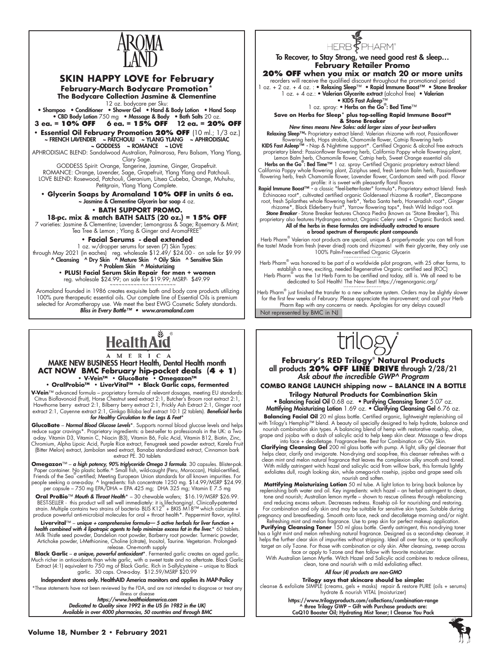

# **SKIN HAPPY LOVE for February February-March Bodycare Promotion**\*

**The Bodycare Collection Jasmine & Clementine**  12 oz. bodycare per Sku:

• Shampoo • Conditioner • Shower Gel • Hand & Body Lotion • Hand Soap • CBD Body Lotion 750 mg • Massage & Body • Bath Salts 20 oz.<br>3 eq. = 10% OFF 6 eq. = 15% OFF 12 eq. = 209

 **3 ea. = 10% OFF 6 ea. = 15% OFF 12 ea. = 20% OFF Essential Oil February Promotion 20% OFF (10 ml.; 1/3 oz.)<br>FRENCH LAVENDER ~ PATCHOULI ~ YLANG YLANG ~ APHRODISIAC** ~ FRENCH LAVENDER ~ PATCHOULI ~ YLANG YLANG ~ APHRODISIAC

~ GODDESS ~ ROMANCE ~ LOVE APHRODISIAC BLEND: Sandalwood Australian, Palmarosa, Peru Balsam, Ylang Ylang, Clary Sage.

GODDESS Spirit: Orange, Tangerine, Jasmine, Ginger, Grapefruit. ROMANCE: Orange, Lavender, Sage, Grapefruit, Ylang Ylang and Patchouli. LOVE BLEND: Rosewood, Patchouli, Geranium, Litsea Cubeba, Orange, Muhuhu, Petitgrain, Ylang Ylang Complete.

**• Glycerin Soaps by Aromaland 10% OFF in units 6 ea.**  $\sim$  Jasmine & Clementine Glycerin bar soap  $4$  oz.

# **• BATH SUPPORT PROMO.**

**18-pc. mix & match BATH SALTS (20 oz.) = 15% OFF** 7 varieties: Jasmine & Clementine; Lavender; Lemongrass & Sage; Rosemary & Mint; Tea Tree & Lemon ; Ylang & Ginger and AromaFREE®

# **• Facial Serums - deal extended**

1 oz. w/dropper serums for seven (7) Skin Types: through May 2021 (in eaches) reg. wholesale \$12.49/ \$24.00 - on sale for \$9.99<br>^ Cleansing ^ Dry Skin ^ Mature Skin ^ Oily Skin ^ Sensitive Skin ^ Problem Skin ^ Moisturizing

**• PLUS! Facial Serum Skin Repair for men + women**  reg. wholesale \$24.99; on sale for \$19.99; MSRP- \$49.99

 Aromaland founded in 1986 creates exquisite bath and body care products utilizing 100% pure therapeutic essential oils. Our complete line of Essential Oils is premium selected for Aromatherapy use. We meet the best EWG Cosmetic Safety standards. *Bliss in Every Bottle™ • www.aromaland.com*

# Š **Health Aid**

#### A M E R I C A MAKE NEW BUSINESS Heart Health, Dental Health month **ACT NOW BMC February hip-pocket deals (4 + 1) • V-Vein™ • GlucoBate • Omegazon™ • OralProbio™ • LiverVital™ • Black Garlic caps, fermented**

**V-Vein**™ advanced formula – proprietary formula of relevant dosages, meeting EU standards: Citrus Bioflavonoid (fruit), Horse Chestnut seed extract 2:1, Butcher's Broom root extract 2:1, Hawthorne berry extract 2:1, Bilberry berry extract 2:1, Prickly Ash Extract 2:1, Ginger root extract 2:1, Cayenne extract 2:1, Ginkgo Biloba leaf extract 10:1 (2 tablets). *Beneficial herbs* 

### *for Healthy Circulation to the Legs & Feet*\*

**GlucoBate – Normal Blood Glucose Levels**\*. Supports normal blood glucose levels and helps<br>reduce sugar cravings\*. Proprietary ingredients: a best-seller to professionals in the UK: a Two-<br>a-day. Vitamin D3, Vitamin C, Nia (Bitter Melon) extract, Jambolan seed extract, Banaba standardized extract, Cinnamon bark extract PE. 30 tablets

**Omegazon**™ – **a high potency, 90% triglyceride Omega 3 formula**. 30 capsules. Blister-pak.<br>Paper container. No plastic bottle.^ Small fish, wild-caught (Peru, Moroccan), Halal-certified;<br>Friends of the Sea<sup>-</sup>certified; M per capsule – 750 mg EPA/DHA = EPA 425 mg; DHA 325 mg; Vitamin E 7.5 mg

**Oral ProBio**™ *Mouth & Throat Health*\* – 30 chewable wafers; \$16.19/MSRP \$26.99. BEST-SELLER - this product will sell well immediately: it is lifechanging!. Clinically-patented<br>strain. Multiple contains two strains of bacteria- BLIS K12® + BKIS M18™ which colonize + produce powerful anti-microbial molecules for oral + throat health\*. Peppermint flavor, xylitol.

**Livervital**™ – *unique + comprehensive formula— 5 active herbals for liver function + health combined with 4 lipotropic agents to help minimize excess fat in the liver.*\* 60 tablets. Milk Thistle seed powder, Dandelion root powder, Barberry root powder. Turmeric powder, Artichoke powder, L-Methionine, Choline (citrate), Inositol, Taurine. Vegetarian. Prolongedrelease. One-month supply

**Black Garlic** – *a unique, powerful antioxidant*\*. Fermented garlic creates an aged garlic. Much richer in antioxidants than white garlic, with a sweet taste and no aftertaste. Black Garlic<br>Extract (4:1) equivalent to 750 mg of Black Garlic. Rich in S-allylcysteine – unique to Black<br>garlic. 30 caps. One-a-day.

Independent stores only. HealthAID America monitors and applies its MAP-Policy \*These statements have not been reviewed by the FDA, and are not intended to diagnose or treat any

illness or disease *https://www.healthaidamerica.com Dedicated to Quality since 1992 in the US (in 1982 in the UK) Available in over 4000 pharmacies, 50 countries and through BMC*



To Recover, to Stay Strong, we need good rest & sleep… **February Retailer Promo**

#### **20% OFF when you mix or match 20 or more units** reorders will receive the qualified discount throughout the promotional period

1 oz. + 2 oz. + 4 oz. : • Relaxing Sleep™ • Rapid Immune Boost™ • Stone Breaker 1 oz. + 4 oz.: • Valerian Glycerite extract (alcohol free) • Valerian

• KIDS Fast Asleep™

1 oz. spray: ● Herbs on the Go®: Bed Time™

**Save on Herbs for Sleep\* plus top-selling Rapid Immune Boost™ & Stone Breaker**

*New times means New Sales: add larger sizes of your best-sellers* Relaxing Sleep™**-** Proprietary extract blend: Valerian rhizome with root, Passionflower

flowering herb, Hops strobile, Chamomile flower, Catnip flowering herb KIDS Fast Asleep™ *-* Nap & Nighttime support\*. Certified Organic & alcohol free extracts proprietary blend: Passionflower flowering herb, California Poppy whole flowering plant,

Lemon Balm herb, Chamomile flower, Catnip herb, Sweet Orange essential oils Herbs on the Go<sup>®</sup>: Bed Time<sup>™</sup> 1 oz. spray- Certified Organic proprietary extract blend: California Poppy whole flowering plant, Ziziphus seed, fresh Lemon Balm herb, Passionflower flowering herb, fresh Chamomile flower, Lavender flower, Cardamom seed with pod. Flavor

profile: it is sweet with pleasantly floral flavors<br>Rapid Immune Boost™ - a classic "feel-better-faster" formula\*. Proprietary extract blend: fresh

Echinacea root\*, cultivated certified organic Goldenseal rhizome & rootlet\*, Elecampane root, fresh Spilanthes whole flowering herb\*, Yerba Santa herb, Horseradish root\*, Ginger rhizome\*, Black Elderberry fruit\*, Yarrow flowering tops\*, fresh Wild Indigo root.

**Stone Breaker** - Stone Breaker features Chanca Piedra (known as 'Stone Breaker'), This<br>proprietary also features Hydrangea extract, Organic Celery seed + Organic Burdock seed.<br>**All of the herbs in these formulas are indiv** a broad spectrum of therapeutic plant compounds

Herb Pharm® Valerian root products are special, unique & properly-made: you can tell from the taste! Made from fresh (never dried) roots and rhizomes! with their glycerite, they only use 100% Palm-Free-certified Organic Glycerin

Herb Pharm® was honored to be part of a worldwide pilot program, with 25 other farms, to establish a new, exciting, needed Regenerative Organic certified seal (ROC) Herb Pharm® was the 1st Herb Farm to be certified and today, still is. We all need to be dedicated to Soil Health! The New Best! https://regenorganic.org/

Not represented by BMC in NJ ``````````````````````` Herb Pharm® just finished the transfer to a new software system. Orders may be slightly slower for the first few weeks of February. Please appreciate the improvement; and call your Herb Pharm Rep with any concerns or needs. Apologies for any delays caused!



**February's RED Trilogy**®  **Natural Products** all products **20% OFF LINE DRIVE** through 2/28/21 *Ask about the incredible GWP^ Program*

**COMBO RANGE LAUNCH shipping now – BALANCE IN A BOTTLE Trilogy Natural Products for Combination Skin**

• Balancing Facial Oil 0.68 oz. • Purifying Cleansing Toner 5.07 oz. Mattifying Moisturizing Lotion 1.69 oz. • Clarifying Cleansing Gel 6.76 oz.

Balancing Facial Oil 20 ml glass bottle. Certified organic, lightweight replenishing oil with Trilogy's Hemphip™ blend. A beauty oil specially designed to help hydrate, balance and nourish combination skin types. A balancing blend of hemp with restorative rosehip, olive, grape and jojoba with a dash of salicylic acid to help keep skin clear. Massage a few drops into face + decolletage. Fragrance-free. Best for Combination or Oily Skin.

**Clarifying Cleansing Gel** 200 ml glass bottle with pump. A light, silky gel cleanser that helps clear, clarify and invigorate. Non-drying and soap-free, this cleanser refreshes with a clean mint and melon natural fragrance that leaves the complexion silky smooth and toned. With mildly astringent witch hazel and salicylic acid from willow bark, this formula lightly exfoliates dull, rough looking skin, while omega-rich rosehip, jojoba and grape seed oils nourish and soften.

**Mattifying Moisturizing Lotion** 50 ml tube. A light lotion to bring back balance by replenishing both water and oil. Key ingredients: witch hazel – an herbal astringent to clean, tone and nourish; Australian lemon myrtle – shown to rescue oiliness through rebalancing and reducing excess sebum. Decreases redness. Rosehip oil- for nourishing and restoring. For combination and oily skin and may be suitable for sensitive skin types. Suitable during pregnancy and breastfeeding. Smooth onto face, neck and decolletage morning and/or night.

Refreshing mint and melon fragrance. Use to prep skin for perfect makeup application. Purifying Cleansing Toner 150 ml glass bottle. Gently astringent, this non-drying toner has a light mint and melon refreshing natural fragrance. Designed as a second-step cleanser, it helps the further clear skin of impurities without stripping. Ideal all over face, or to specifically

target an oily T-zone. For those with combination or oily skin. After cleansing, sweep across face or apply to T-zone and then follow with favorite moisturizer. With Australian Lemon Myrtle. Witch Hazel and Salicylic acid combines to reduce oiliness,

clean, tone and nourish with a mild exfoliating effect.

*All four (4) products are non-GMO*

**Trilogy says that skincare should be simple:** cleanse & exfoliate SIMPLE (creams, gels + masks) repair & restore PURE (oils + serums)

hydrate & nourish VITAL (moisturizer) https://www.trilogyproducts.com/collections/combination-range

^ three Trilogy GWP – Gift with Purchase products are: CoQ10 Booster Oil; Hydrating Mist Toner; I Cleanse You Pack

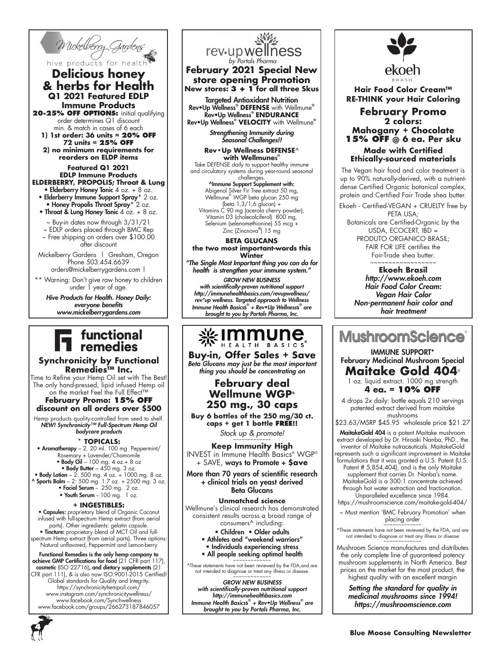

# hive products for healt **Delicious honey & herbs for Health Q1 2021 Featured EDLP Immune Products** 20-25% OFF OPTIONS: initial qualifying

order determines Q1 discount min. & match in cases of 6 each **1) 1st order: 36 units = 20% OFF**

**72 units = 25% OFF 2) no minimum requirements for reorders on ELDP items**

**Featured Q1 2021 EDLP Immune Products ELDERBERRY, PROPOLIS; Throat & Lung**

• Elderberry Honey Tonic 4 oz. + 8 oz. • Elderberry Immune Support Spray\* 2 oz. • Honey Propolis Throat Spray\* 2 oz.

• Throat & Lung Honey Tonic  $4$  oz. + 8 oz.

~ Buy-in dates now through 3/31/21

~ EDLP orders placed through BMC Rep ~ Free shipping on orders over \$100.00 after discount

Mickelberry Gardens | Gresham, Oregon Phone 503.454.6639 orders@mickelberrygardens.com |

\*\* Warning: Don't give raw honey to children under 1 year of age.

*Hive Products for Health. Honey Daily: everyone benefits www.mickelberrygardens.com*

# functional<br>remedies

## **Synchronicity by Functional Remedies™ Inc.**

Time to Refine your Hemp Oil set with The Best! The only hand-pressed, lipid infused Hemp oil on the market Feel the Full Effect™

**February Promo: 15% OFF discount on all orders over \$500**

Hemp products quality-controlled from seed to shelf. *NEW! Synchronicity™ Full-Spectrum Hemp Oil bodycare products*

**\* TOPICALS:** • Aromatherapy – 2. 20 ml. 100 mg Peppermint/ Rosemary + Lavender/Chamomile • Body Oil – 100 mg. 4 oz.+ 8 oz

• Body Butter  $-450$  mg. 3 oz. • Body Lotion – 2: 500 mg. 4 oz. + 1000 mg. 8 oz.

 $^{\circ}$  Sports Balm – 2: 500 mg. 1.7 oz. + 2500 mg. 3 oz. • Facial Serum -  $250$  mg.  $2$  oz.

• Youth Serum - 100 mg. 1 oz.

### **+ INGESTIBLES:**

• Capsules: proprietary blend of Organic Coconut infused with full-spectrum Hemp extract (from aerial parts). Other ingredients: gelatin capsule. • Tincture: proprietary blend of MCT Oil and fullspectrum Hemp extract (from aerial parts). Three options:

Natural unflavored, Peppermint and Lemon-berry

Functional Remedies is the only hemp company to achieve GMP Certifications for food (21 CFR part 117), cosmetic (ISO 22716), and dietary supplements (21 CFR part 111), & is also now ISO:9001-2015 Certified! Global standards for Quality and Integrity. https://synchronicityhempoil.com/ www.instagram.com/synchronicitywellness/ www.facebook.com/Synchwellness www.facebook.com/groups/266273187846057



**February 2021 Special New store opening Promotion New stores: 3 + 1 for all three Skus**

Targeted Antioxidant Nutrition Rev•Up Wellness® **DEFENSE** with Wellmune® Rev•Up Wellness® **ENDURANCE**  Rev•Up Wellness® **VELOCITY** with Wellmune®

> *Strengthening Immunity during Seasonal Challenges!!*

**Rev•Up Wellness DEFENSE**^ **with Wellmune**s ® Take DEFENSE daily to support healthy immune

and circulatory systems during year-round seasonal challenges.<br>^Immune Support Supplement with:

Abigenol Silver Fir Tree extract 50 mg, Wellmune® WGP beta glucan 250 mg (beta 1,3/1,6 glucan) + Vitamins C 90 mg (acerola cherry powder), Vitamin D3 (cholecalciferol) 800 mg, Selenium (selenomethionine) 55 mcg + Zinc (Zincnova®) 15 mg

#### **BETA GLUCANS the two most important-words this**

**Winter** *"The Single Most Important thing you can do for* 

*health is strengthen your immune system." GROW NEW BUSINESS with scientifically-proven nutritional support http://immunehealthbasics.com/revupwellness/ rev\*up wellness. Targeted approach to Wellness Immune Health Basics*s ®  *+ Rev•Up Wellness*s ®  *are brought to you by Portals Pharma, Inc.*

# 

**Buy-in, Offer Sales + Save** *Beta Glucans may just be the most important thing you should be concentrating on*

> **February deal Wellmune WGP® 250 mg., 30 caps**

**Buy 6 bottles of the 250 mg/30 ct. caps + get 1 bottle FREE!!**  Stock up & promote!

**Keep Immunity High** INVEST in Immune Health Basics® WGP® + SAVE, ways to Promote + **\$ave**

More than 70 years of scientific research + clinical trials on yeast derived Beta Glucans

### **Unmatched science**

Wellmune's clinical research has demonstrated consistent results across a broad range of consumers^ including:

• Children • Older adults • Athletes and "weekend warriors" • Individuals experiencing stress • All people seeking optimal health

^These statements have not been reviewed by the FDA,and are not intended to diagnose or treat any illness or disease.<br>~~~~~~~~~~~~~

*GROW NEW BUSINESS with scientifically-proven nutritional support http://immunehealthbasics.com Immune Health Basics*s ®  *+ Rev•Up Wellness® are brought to you by Portals Pharma, Inc.*



**Hair Food Color Cream™ RE-THINK your Hair Coloring**

### **February Promo 2 colors: Mahogany + Chocolate 15% OFF @ 6 ea. Per sku Made with Certified Ethically-sourced materials**

The Vegan hair food and color treatment is up to 90% naturally-derived, with a nutrientdense Certified Organic botanical complex, protein and Certified Fair Trade shea butter.

Ekoeh - Certified-VEGAN + CRUELTY free by PETA USA; Botanicals are Certified-Organic by the USDA, ECOCERT, IBD = PRODUTO ORGANICO BRASIL; FAIR FOR LIFE certifies the Fair-Trade shea butter.

> ~~~~~~~~~~~~~~~~~~ **Ekoeh Brasil** *http://www.ekoeh.com Hair Food Color Cream: Vegan Hair Color Non-permanent hair color and hair treatment*

**MushroomScience** 

IMMUNE SUPPORT\* February Medicinal Mushroom Special **Maitake Gold 404**®

1 oz. liquid extract. 1000 mg strength **4 ea. = 10% OFF**

4 drops 2x daily: bottle equals 210 servings patented extract derived from maitake mushrooms

\$23.63/MSRP \$45.95 wholesale price \$21.27

**MaitakeGold 404** is a potent Maitake mushroom extract developed by Dr. Hiroaki Nanba, PhD., the inventor of Maitake nutraceuticals. MaitakeGold represents such a significant improvement in Maitake formulations that it was granted a U.S. Patent (U.S.

Patent # 5,854,404), and is the only Maitake supplement that carries Dr. Nanba's name. MaitakeGold is a 300:1 concentrate achieved through hot water extraction and fractionation. Unparalleled excellence since 1984.

https://mushroomscience.com/maitake-gold-404/

~ Must mention 'BMC February Promotion' when placing order

~~~~~~~~~~~~~ \*These statements have not been reviewed by the FDA, and are not intended to diagnose or treat any illness or disea

Mushroom Science manufactures and distributes the only complete line of guaranteed potency mushroom supplements in North America. Best prices on the market for the most product, the highest quality with an excellent margin

*Setting the standard for quality in medicinal mushrooms since 1994! https://mushroomscience.com*

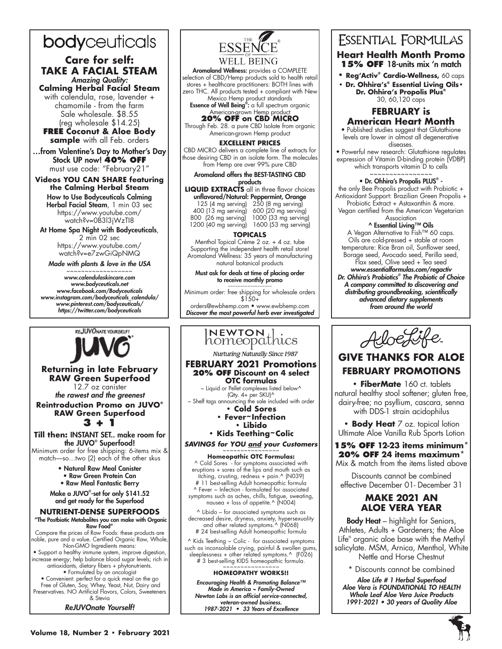# bodyceuticals

# **Care for self: TAKE A FACIAL STEAM** *Amazing Quality:*

**Calming Herbal Facial Steam** with calendula, rose, lavender + chamomile - from the farm Sale wholesale. \$8.55

(reg wholesale \$14.25) **FREE Coconut & Aloe Body sample** with all Feb. orders

…from Valentine's Day to Mother's Day Stock UP now! **40% OFF** must use code: "February21"

# **Videos YOU CAN SHARE featuring the Calming Herbal Steam**

How to Use Bodyceuticals Calming Herbal Facial Steam, 1 min 03 sec https://www.youtube.com/ watch?v=0B3l3jWzTI8

At Home Spa Night with Bodyceuticals, 2 min 02 sec

https://www.youtube.com/ watch?v=e7zwGiQpNMQ

*Made with plants & love in the USA*

~~~~~~~~~~~~~~~~~~ *www.calendulaskincare.com www.bodyceuticals.net www.facebook.com/Bodyceuticals www.instagram.com/bodyceuticals\_calendula/ www.pinterest.com/bodyceuticals/ https://twitter.com/bodyceuticals*



### **Returning in late February RAW Green Superfood**  12.7 oz canister

*the rawest and the greenest* **Reintroduction Promo on JUVO® RAW Green Superfood**

**3 + 1**

### **Till then:** INSTANT SET.. make room for the JUVO® Superfood!

Minimum order for free shipping: 6-items mix & match—so...two (2) each of the other skus

- Natural Raw Meal Canister
- Raw Green Protein Can
- Raw Meal Fantastic Berry

Make a JUVO® -set for only \$141.52 and get ready for the Superfood

# **NUTRIENT-DENSE SUPERFOODS**

"The Postbiotic Metabolites you can make with Organic Raw Food" Compare the prices of Raw Foods: these products are noble, pure and a value. Certified Organic Raw, Whole,

Non-GMO Ingredients means: • Support a healthy immune system, improve digestion, increase energy; help balance blood sugar levels; rich in

antioxidants, dietary fibers + phytonutrients. • Formulated by an oncologist

• Convenient: perfect for a quick meal on the go Free of Gluten, Soy, Whey, Yeast, Nut, Dairy and Preservatives. NO Artificial Flavors, Colors, Sweeteners & Stevia

*ReJUVOnate Yourself!*



Aromaland Wellness: provides a COMPLETE selection of CBD/Hemp products sold to health retail stores + healthcare practitioners: BOTH lines with zero THC. All products tested + compliant with New Mexico Hemp product standards

Essence of Well Being<sup>®</sup>: a full spectrum organic American-grown Hemp product

**20% OFF on CBD MICRO**  Through Feb. 28. a pure CBD Isolate from organic

American-grown Hemp product

### **EXCELLENT PRICES**

CBD MICRO delivers a complete line of extracts for those desiring CBD in an isolate form. The molecules from Hemp are over 99% pure CBD

### Aromaland offers the BEST-TASTING CBD products

**LIQUID EXTRACTS** all in three flavor choices unflavored/Natural: Peppermint, Orange

125 (4 mg serving) 250 (8 mg serving) 400 (13 mg serving) 600 (20 mg serving) 800 (26 mg serving) 1000 (33 mg serving) 1600 (53 mg serving)

**TOPICALS**

Menthol Topical Crème 2 oz. + 4 oz. tube Supporting the independent health retail store! Aromaland Wellness: 35 years of manufacturing natural botanical products

Must ask for deals at time of placing order to receive monthly promo

~~~~~~~~~~~~~~~~~~ Minimum order: free shipping for wholesale orders \$150+

orders@ewbhemp.com • www.ewbhemp.com *Discover the most powerful herb ever investigated* 

# I**NEWTON**<br>homeopathics

**Nurturing Naturally Since 1987** 

#### **FEBRUARY 2021 Promotions 20% OFF Discount on 4 select OTC formulas**

~ Liquid or Pellet complexes listed below^ (Qty. 4+ per SKU)^

~ Shelf tags announcing the sale included with order **• Cold Sores** 

### **• Fever~Infection • Libido**

**• Kids Teething~Colic** 

**SAVINGS for YOU and your Customers** 

#### **Homeopathic OTC Formulas:** ^ Cold Sores - for symptoms associated with

eruptions + sores of the lips and mouth such as itching, crusting, redness + pain.^ (N039) # 11 best-selling Adult homeopathic formula ^ Fever ~ Infection - formulated for associated symptoms such as aches, chills, fatigue, sweating, nausea + loss of appetite.^ (N004)

^ Libido – for associated symptoms such as decreased desire, dryness, anxiety, hypersexuality and other related symptoms.^ (N068) # 24 best-selling Adult homeopathic formula

^ Kids Teething ~ Colic - for associated symptoms such as inconsolable crying, painful & swollen gums, sleeplessness + other related symptoms.^ (F026) # 3 best-selling KIDS homeopathic formula. ~~~~~~~~~~~~~~~~

### **HOMEOPATHY WORKS!!**

*Encouraging Health & Promoting Balance™ Made in America ~ Family-Owned Newton Labs is an official service-connected, veteran-owned business. 1987-2021 • 33 Years of Excellence*

# **ESSENTIAL FORMULAS**

## **Heart Health Month Promo 15% OFF** 18-units mix 'n match

**• Reg'Activ® Cardio-Wellness, 60 caps** 

**• Dr. Ohhira's® Essential Living Oils• Dr. Ohhira's Propolis Plus®** 30, 60,120 caps

# **FEBRUARY is American Heart Month**

• Published studies suggest that Glutathione levels are lower in almost all degenerative

diseases. • Powerful new research: Glutathione regulates expression of Vitamin D-binding protein (VDBP) which transports vitamin D to cells

#### ~~~~~~~~~~~~~~~~ • Dr. Ohhira's Propolis PLUS® -

the only Bee Propolis product with Probiotic + Antioxidant Support: Brazilian Green Propolis + Probiotic Extract + Astaxanthin & more.

Vegan certified from the American Vegetarian Association

# ^ Essential Living™ Oils

A Vegan Alternative to Fish™ 60 caps. Oils are cold-pressed + stable at room temperature: Rice Bran oil, Sunflower seed, Borage seed, Avocado seed, Perilla seed, Flax seed, Olive seed + Tea seed *www.essentialformulas.com/regactiv Dr. Ohhira's Probiotics® The Probiotic of Choice A company committed to discovering and distributing groundbreaking, scientifically* 

*advanced dietary supplements from around the world*



# **GIVE THANKS FOR ALOE FEBRUARY PROMOTIONS**

**• FiberMate** 160 ct. tablets natural healthy stool softener; gluten free, dairy-free; no psyllium, cascara, senna with DDS-1 strain acidophilus

**• Body Heat** 7 oz. topical lotion Ultimate Aloe Vanilla Rub Sports Lotion

# **15% OFF 12-23 items minimum\* 20% OFF 24 items maximum\***

Mix & match from the items listed above

Discounts cannot be combined effective December 01- December 31

# **MAKE 2021 AN ALOE VERA YEAR**

**Body Heat** – highlight for Seniors, Athletes, Adults + Gardeners; the Aloe Life® organic aloe base with the Methyl salicylate. MSM, Arnica, Menthol, White Nettle and Horse Chestnut

\* Discounts cannot be combined

*Aloe Life # 1 Herbal Superfood Aloe Vera is FOUNDATIONAL TO HEALTH Whole Leaf Aloe Vera Juice Products 1991-2021 • 30 years of Quality Aloe*

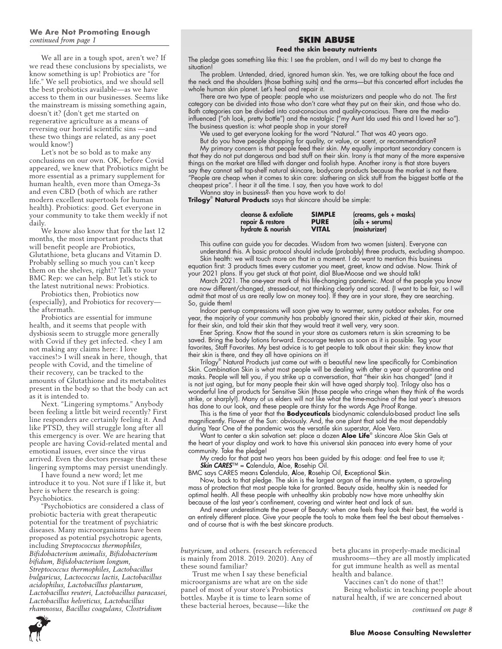### **We Are Not Promoting Enough** *continued from page 1*

We all are in a tough spot, aren't we? If we read these conclusions by specialists, we know something is up! Probiotics are "for life." We sell probiotics, and we should sell the best probiotics available—as we have access to them in our businesses. Seems like the mainstream is missing something again, doesn't it? (don't get me started on regenerative agriculture as a means of reversing our horrid scientific sins —and these two things are related, as any poet would know!)

Let's not be so bold as to make any conclusions on our own. OK, before Covid appeared, we knew that Probiotics might be more essential as a primary supplement for human health, even more than Omega-3s and even CBD (both of which are rather modern excellent supertools for human health). Probiotics: good. Get everyone in your community to take them weekly if not daily.

We know also know that for the last 12 months, the most important products that will benefit people are Probiotics, Glutathione, beta glucans and Vitamin D. Probably selling so much you can't keep them on the shelves, right!? Talk to your BMC Rep: we can help. But let's stick to the latest nutritional news: Probiotics.

Probiotics then, Probiotics now (especially), and Probiotics for recovery the aftermath.

Probiotics are essential for immune health, and it seems that people with dysbiosis seem to struggle more generally with Covid if they get infected. <hey I am not making any claims here: I love vaccines!> I will sneak in here, though, that people with Covid, and the timeline of their recovery, can be tracked to the amounts of Glutathione and its metabolites present in the body so that the body can act as it is intended to.

Next. "Lingering symptoms." Anybody been feeling a little bit weird recently? First line responders are certainly feeling it. And like PTSD, they will struggle long after all this emergency is over. We are hearing that people are having Covid-related mental and emotional issues, ever since the virus arrived. Even the doctors presage that these lingering symptoms may persist unendingly.

I have found a new word; let me introduce it to you. Not sure if I like it, but here is where the research is going: Psychobiotics.

"Psychobiotics are considered a class of probiotic bacteria with great therapeutic potential for the treatment of psychiatric diseases. Many microorganisms have been proposed as potential psychotropic agents, including *Streptococcus thermophiles, Bifidobacterium animalis, Bifidobacterium bifidum, Bifidobacterium longum, Streptococcus thermophiles, Lactobacillus bulgaricus, Lactococcus lactis, Lactobacillus acidophilus, Lactobacillus plantarum, Lactobacillus reuteri, Lactobacillus paracasei, Lactobacillus helveticus, Lactobacillus rhamnosus, Bacillus coagulans, Clostridium* 

### **SKIN ABUSE**

#### **Feed the skin beauty nutrients**

The pledge goes something like this: I see the problem, and I will do my best to change the situation!

The problem. Untended, dried, ignored human skin. Yes, we are talking about the face and the neck and the shoulders (those bathing suits) and the arms—but this concerted effort includes the whole human skin planet. Let's heal and repair it.

There are two type of people: people who use moisturizers and people who do not. The first category can be divided into those who don't care what they put on their skin, and those who do. Both categories can be divided into cost-conscious and quality-conscious. There are the mediainfluenced ("oh look, pretty bottle") and the nostalgic ("my Aunt Ida used this and I loved her so"). The business question is: what people shop in your store?

We used to get everyone looking for the word "Natural." That was 40 years ago.

But do you have people shopping for quality, or value, or scent, or recommendation? My primary concern is that people feed their skin. My equally important secondary concern is that they do not put dangerous and bad stuff on their skin. Irony is that many of the more expensive things on the market are filled with danger and foolish hype. Another irony is that store buyers say they cannot sell top-shelf natural skincare, bodycare products because the market is not there. "People are cheap when it comes to skin care: slathering on slick stuff from the biggest bottle at the cheapest price". I hear it all the time. I say, then you have work to do!

Wanna stay in business?- then you have work to do! **Trilogy**® **Natural Products** says that skincare should be simple:

| cleanse & exfoliate | <b>SIMPLE</b> | (creams, gels + masks) |
|---------------------|---------------|------------------------|
| repair & restore    | <b>PURE</b>   | $(oils + serums)$      |
| hydrate & nourish   | <b>VITAL</b>  | (moisturizer)          |

This outline can guide you for decades. Wisdom from two women (sisters). Everyone can understand this. A basic protocol should include (probably) three products, excluding shampoo.

Skin health: we will touch more on that in a moment. I do want to mention this business equation first: 3 products times every customer you meet, greet, know and advise. Now. Think of your 2021 plans. If you get stuck at that point, dial Blue-Moose and we should talk!

March 2021. The one-year mark of this life-changing pandemic. Most of the people you know are now different/changed, stressed-out, not thinking clearly and scared. {I want to be fair, so I will admit that most of us are really low on money too}. If they are in your store, they are searching. So, guide them!

Indoor pent-up compressions will soon give way to warmer, sunny outdoor exhales. For one year, the majority of your community has probably ignored their skin, picked at their skin, mourned for their skin, and told their skin that they would treat it well very, very soon.

Ener Spring. Know that the sound in your store as customers return is skin screaming to be saved. Bring the body lotions forward. Encourage testers as soon as it is possible. Tag your favorites, Staff Favorites. My best advice is to get people to talk about their skin: they know that their skin is there, and they all have opinions on it!

Trilogy® Natural Products just came out with a beautiful new line specifically for Combination Skin. Combination Skin is what most people will be dealing with after a year of quarantine and masks. People will tell you, if you strike up a conversation, that "their skin has changed" (and it is not just aging, but for many people their skin will have aged sharply too). Trilogy also has a wonderful line of products for Sensitive Skin (those people who cringe when they think of the words strike, or sharply!). Many of us elders will not like what the time-machine of the last year's stressors has done to our look, and these people are thirsty for the words Age Proof Range.

This is the time of year that the **Bodyceuticals** biodynamic calendula-based product line sells magnificently. Flower of the Sun: obviously. And, the one plant that sold the most dependably during Year One of the pandemic was the versatile skin superstar, Aloe Vera.

Want to center a skin salvation set: place a dozen **Aloe Life**® skincare Aloe Skin Gels at the heart of your display and work to have this universal skin panacea into every home of your community. Take the pledge!

My credo for that past two years has been guided by this adage: and feel free to use it; *Skin CARES*™ = Calendula, Aloe, Rosehip Oil.

BMC says CARES means Calendula, Aloe, Rosehip Oil, Exceptional Skin.

Now, back to that pledge. The skin is the largest organ of the immune system, a sprawling mass of protection that most people take for granted. Beauty aside, healthy skin is needed for optimal health. All these people with unhealthy skin probably now have more unhealthy skin because of the last year's confinement, covering and winter heat and lack of sun.

And never underestimate the power of Beauty: when one feels they look their best, the world is an entirely different place. Give your people the tools to make them feel the best about themselves and of course that is with the best skincare products.

*butyricum*, and others. (research referenced is mainly from 2018. 2019. 2020). Any of these sound familiar?

Trust me when I say these beneficial microorganisms are what are on the side panel of most of your store's Probiotics bottles. Maybe it is time to learn some of these bacterial heroes, because—like the

beta glucans in properly-made medicinal mushrooms—they are all mostly implicated for gut immune health as well as mental health and balance.

Vaccines can't do none of that!!

Being wholistic in teaching people about natural health, if we are concerned about

*continued on page 8*

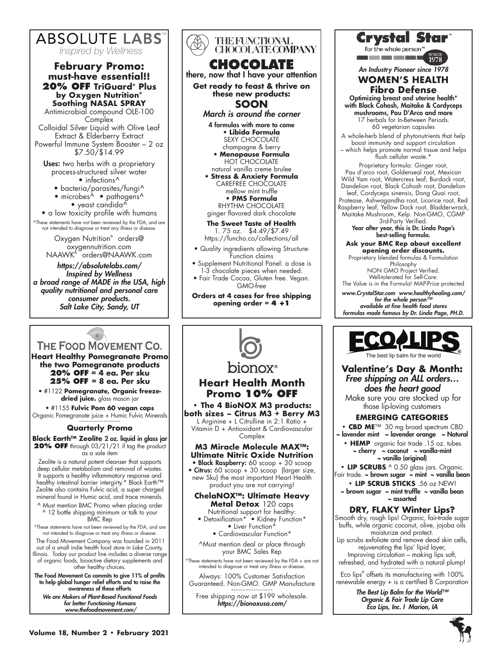

**20% OFF TriGuard® Plus by Oxygen Nutrition® Soothing NASAL SPRAY** Antimicrobial compound OLE-100 **Complex** Colloidal Silver Liquid with Olive Leaf Extract & Elderberry Extract Powerful Immune System Booster – 2 oz \$7.50/\$14.99

**Uses:** two herbs with a proprietary process-structured silver water • infections<sup>^</sup>

- bacteria/parasites/fungi^
- microbes<sup>A</sup> pathogens<sup>A</sup>
- yeast candida $\tilde{\wedge}$
- a low toxicity profile with humans

^These statements have not been reviewed by the FDA, and are not intended to diagnose or treat any illness or disease.

Oxygen Nutrition® orders@ oxygennutrition.com NAAWK® orders@NAAWK.com

*https://absolutelabs.com/ Inspired by Wellness a broad range of MADE in the USA, high quality nutritional and personal care consumer products. Salt Lake City, Sandy, UT*

# THE FOOD MOVEMENT CO.

**Heart Healthy Pomegranate Promo the two Pomegranate products 20% OFF = 4 ea. Per sku 25% OFF = 8 ea. Per sku**

• #1122 **Pomegranate, Organic freezedried juice.** glass mason jar

• #1155 **Fulvic Pom 60 vegan caps** Organic Pomegranate juice + Humic Fulvic Minerals ~~~~~~~~~~~~~~~~~

# **Quarterly Promo**

**Black Earth™ Zeolite** 2 oz. liquid in glass jar 20% OFF through 03/21/21 if tag the product as a sale item

Zeolite is a natural potent cleanser that supports deep cellular metabolism and removal of wastes. It supports a healthy inflammatory response and healthy intestinal barrier intergirty.\* Black Earth™ Zeolite also contains Fulvic acid, a super charged mineral found in Humic acid, and trace minerals.

^ Must mention BMC Promo when placing order ^ 12 bottle shipping minimum or talk to your BMC Rep

\*These statements have not been reviewed by the FDA, and are not intended to diagnose or treat any illness or disease.

 The Food Movement Company was founded in 2011 out of a small indie health food store in Lake County, Illinois. Today our product line includes a diverse range of organic foods, bioactive dietary supplements and other healthy choices.

The Food Movement Co commits to give 11% of profits to help global hunger relief efforts and to raise the awareness of these efforts

*We are Makers of Plant-Based Functional Foods for better Functioning Humans www.thefoodmovement.com/*

| <b>THE FUNCTIONAL</b><br><b>CHOCOLATE COMPANY</b>                                                                                                                                                                                                                                                                                                                                                                                         |  |  |
|-------------------------------------------------------------------------------------------------------------------------------------------------------------------------------------------------------------------------------------------------------------------------------------------------------------------------------------------------------------------------------------------------------------------------------------------|--|--|
| CHOCOLATE<br>there, now that I have your attention                                                                                                                                                                                                                                                                                                                                                                                        |  |  |
| Get ready to feast & thrive on<br>these new products:<br><b>SOON</b>                                                                                                                                                                                                                                                                                                                                                                      |  |  |
| March is around the corner                                                                                                                                                                                                                                                                                                                                                                                                                |  |  |
| 4 formulas with more to come<br>• Libido Formula<br><b>SEXY CHOCOLATE</b><br>champagne & berry<br>• Menopause Formula<br><b>HOT CHOCOLATE</b><br>natural vanilla creme brulee<br>· Stress & Anxiety Formula<br><b>CAREFREE CHOCOLATE</b><br>mellow mint truffle<br>• PMS Formula<br><b>RHYTHM CHOCOLATE</b><br>ginger flavored dark chocolate<br>The Sweet Taste of Health<br>1.75 oz. \$4.49/\$7.49<br>https://funcho.co/collections/all |  |  |
| · Quality ingredients allowing Structure-<br>Function claims<br>• Supplement Nutritional Panel: a dose is<br>1-3 chocolate pieces when needed.<br>· Fair Trade Cocoa, Gluten free. Vegan.<br>GMO-free                                                                                                                                                                                                                                     |  |  |
| Orders at 4 cases for free shipping<br>opening order = $4 + 1$                                                                                                                                                                                                                                                                                                                                                                            |  |  |
|                                                                                                                                                                                                                                                                                                                                                                                                                                           |  |  |

# **Heart Health Month Promo 10% OFF**

**• The 4 BioNOX M3 products: both sizes – Citrus M3 + Berry M3** L Arginine + L Citrulline in 2:1 Ratio + Vitamin D + Antioxidant & Cardiovascular **Complex** 

# **M3 Miracle Molecule MAX™: Ultimate Nitric Oxide Nutrition**

• Black Raspberry: 60 scoop + 30 scoop

• Citrus: 60 scoop + 30 scoop (larger size, new Sku) the most important Heart Health product you are not carrying!

### **ChelaNOX™: Ultimate Heavy Metal Detox** 120 caps

Nutritional support for healthy: • Detoxification\* • Kidney Function\* • Liver Function\*

• Cardiovascular Function\*

^Must mention deal or place through your BMC Sales Rep

\*These statements have not been reviewed by the FDA + are not intended to diagnose or treat any illness or disease.

Always: 100% Customer Satisfaction Guaranteed. Non-GMO. GMP Manufacture ~~~~~~~~~~~~~~~~~

Free shipping now at \$199 wholesale. *https://bionoxusa.com/*

# **Crystal Star**

for the whole person

<u>and so the most of the </u>

*An Industry Pioneer since 1978*

### **WOMEN'S HEALTH Fibro Defense**

Optimizing breast and uterine health\* with Black Cohosh, Maitake & Cordyceps mushrooms, Pau D'Arco and more 17 herbals for In-Between Periods. 60 vegetarian capsules

A whole-herb blend of phytonutrients that help boost immunity and support circulation – which helps promote normal tissue and helps flush cellular waste.\*

Proprietary formula: Ginger root, Pau d'arco root, Goldenseal root, Mexican Wild Yam root, Watercress leaf, Burdock root, Dandelion root, Black Cohosh root, Dandelion leaf, Cordyceps sinensis, Dong Quai root, Protease, Ashwagandha root, Licorice root, Red Raspberry leaf, Yellow Dock root, Bladderwrack,

Maitake Mushroom, Kelp. Non-GMO, CGMP 3rd-Party Verified.

Year after year, this is Dr. Linda Page's best-selling formula.

**Ask your BMC Rep about excellent opening order discounts.** Proprietary blended formulas & Formulation

Philosophy NON GMO Project Verified. Well-tolerated for Self-Care. The Value is in the Formula! MAP-Price protected

*www.CrystalStar.com www.healthyhealing.com/*

*for the whole person™ available at fine health food stores formulas made famous by Dr. Linda Page, PH.D.*



**Valentine's Day & Month:** *Free shipping on ALL orders… does the heart good* Make sure you are stocked up for those lip-loving customers **EMERGING CATEGORIES**

**• CBD ME**™ 30 mg broad spectrum CBD

~ lavender mint ~ lavender orange ~ Natural **• HEMP** organic fair trade .15 oz. tubes  $\sim$  cherry  $\sim$  coconut  $\sim$  vanilla-mint

~ vanilla (original) **• LIP SCRUBS** ^ 0.50 glass jars. Organic.

- Fair trade. ~ brown sugar ~ mint ~ vanilla bean **• LIP SCRUB STICKS** .56 oz NEW!
	- ~ brown sugar ~ mint truffle ~ vanilla bean ~ assorted

# **DRY, FLAKY Winter Lips?**

Smooth dry, rough lips! Organic, fair-trade sugar buffs, while organic coconut, olive, jojoba oils moisturize and protect. Lip scrubs exfoliate and remove dead skin cells, rejuvenating the lips' lipid layer,

Improving circulation – making lips soft, refreshed, and hydrated with a natural plump!

~~~~~~~~~~~~~~~~~ Eco lips® offsets its manufacturing with 100% renewable energy + is a certified B Corporation

> *The Best Lip Balm for the World™ Organic & Fair Trade Lip Care Eco Lips, Inc. I Marion, IA*

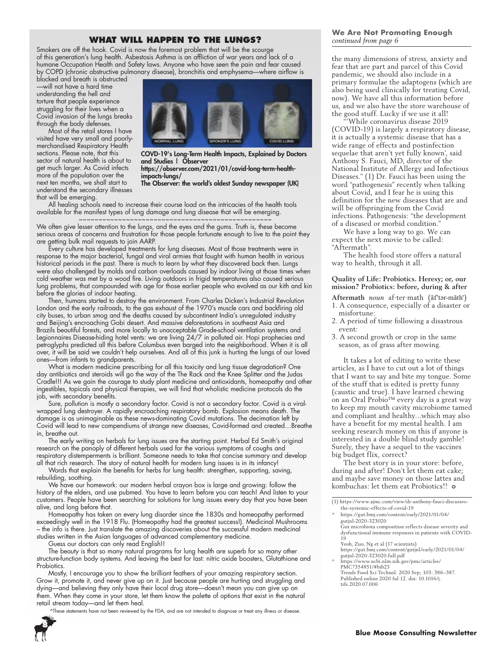## **WHAT WILL HAPPEN TO THE LUNGS?**

Smokers are off the hook. Covid is now the foremost problem that will be the scourge of this generation's lung health. Asbestosis Asthma is an affliction of war years and lack of a humane Occupation Health and Safety laws. Anyone who have seen the pain and fear caused by COPD (chronic obstructive pulmonary disease), bronchitis and emphysema—where airflow is

blocked and breath is obstructed —will not have a hard time understanding the hell and torture that people experience struggling for their lives when a Covid invasion of the lungs breaks through the body defenses.

Most of the retail stores I have visited have very small and poorlymerchandised Respiratory Health sections. Please note, that this sector of natural health is about to get much larger. As Covid infects more of the population over the next ten months, we shall start to understand the secondary illnesses that will be emerging.



COVD-19's Long-Term Health Impacts, Explained by Doctors and Studies | Observer https://observer.com/2021/01/covid-long-term-healthimpacts-lungs/

The Observer: the world's oldest Sunday newspaper (UK)

All healing schools need to increase their course load on the intricacies of the health tools available for the manifest types of lung damage and lung disease that will be emerging.

~~~~~~~~~~~~~~~~~~~~~~~~~~~~~~~~~~~~~~~~~~~~~~~~~ We often give lesser attention to the lungs, and the eyes and the gums. Truth is, these become serious areas of concerns and frustration for those people fortunate enough to live to the point they are getting bulk mail requests to join AARP.

Every culture has developed treatments for lung diseases. Most of those treatments were in response to the major bacterial, fungal and viral armies that fought with human health in various historical periods in the past. There is much to learn by what they discovered back then. Lungs were also challenged by molds and carbon overloads caused by indoor living at those times when cold weather was met by a wood fire. Living outdoors in frigid temperatures also caused serious lung problems, that compounded with age for those earlier people who evolved as our kith and kin before the glories of indoor heating.

Then, humans started to destroy the environment. From Charles Dicken's Industrial Revolution London and the early railroads, to the gas exhaust of the 1970's muscle cars and backfiring old city buses, to urban smog and the deaths caused by subcontinent India's unregulated industry and Beijing's encroaching Gobi desert. And massive deforestations in southeast Asia and Brazils beautiful forests, and more locally to unacceptable Grade-school ventilation systems and Legionnaires Disease-hiding hotel vents: we are living 24/7 in polluted air. Hopi prophecies and petroglyphs predicted all this before Columbus even barged into the neighborhood. When it is all over, it will be said we couldn't help ourselves. And all of this junk is hurting the lungs of our loved ones—from infants to grandparents.

What is modern medicine prescribing for all this toxicity and lung tissue degradation? One day antibiotics and steroids will go the way of the The Rack and the Knee Splitter and the Judas Cradle!!! As we gain the courage to study plant medicine and antioxidants, homeopathy and other ingestibles, topicals and physical therapies, we will find that wholistic medicine protocols do the job, with secondary benefits.

Sure, pollution is mostly a secondary factor. Covid is not a secondary factor. Covid is a viralwrapped lung destroyer. A rapidly encroaching respiratory bomb. Explosion means death. The damage is as unimaginable as these news-dominating Covid mutations. The decimation left by Covid will lead to new compendiums of strange new diseases, Covid-formed and created…Breathe in, breathe out.

The early writing on herbals for lung issues are the starting point. Herbal Ed Smith's original research on the panoply of different herbals used for the various symptoms of coughs and respiratory distemperments is brilliant. Someone needs to take that concise summary and develop all that rich research. The story of natural health for modern lung issues is in its infancy!

Words that explain the benefits for herbs for lung health: strengthen, supporting, saving, rebuilding, soothing.

We have our homework: our modern herbal crayon box is large and growing: follow the history of the elders, and use pubmed. You have to learn before you can teach! And listen to your customers. People have been searching for solutions for lung issues every day that you have been alive, and long before that.

Homeopathy has taken on every lung disorder since the 1830s and homeopathy performed exceedingly well in the 1918 Flu. (Homeopathy had the greatest success!). Medicinal Mushrooms – the info is there. Just translate the amazing discoveries about the successful modern medicinal studies written in the Asian languages of advanced complementary medicine.

Guess our doctors can only read English!!

The beauty is that so many natural programs for lung health are superb for so many other structure-function body systems. And leaving the best for last: nitric oxide boosters, Glutathione and **Probiotics** 

Mostly, I encourage you to show the brilliant feathers of your amazing respiratory section. Grow it, promote it, and never give up on it. Just because people are hurting and struggling and dying—and believing they only have their local drug store—doesn't mean you can give up on them. When they come in your store, let them know the palette of options that exist in the natural retail stream today—and let them heal.

^These statements have not been reviewed by the FDA, and are not intended to diagnose or treat any illness or disease.



### **We Are Not Promoting Enough** *continued from page 6*

the many dimensions of stress, anxiety and fear that are part and parcel of this Covid pandemic, we should also include in a primary formulae the adaptogens (which are also being used clinically for treating Covid, now). We have all this information before us, and we also have the store warehouse of the good stuff. Lucky if we use it all!

'While coronavirus disease 2019 (COVID-19) is largely a respiratory disease, it is actually a systemic disease that has a wide range of effects and postinfection sequelae that aren't yet fully known', said Anthony S. Fauci, MD, director of the National Institute of Allergy and Infectious Diseases." (1) Dr. Fauci has been using the word "pathogenesis" recently when talking about Covid, and I fear he is using this definition for the new diseases that are and will be offspringing from the Covid infections. Pathogenesis: "the development of a diseased or morbid condition."

We have a long way to go. We can expect the next movie to be called: "Aftermath".

The health food store offers a natural way to health, through it all.

### **Quality of Life: Probiotics. Heresy; or, our mission? Probiotics: before, during & after**

**Aftermath** *noun* af·ter·math (ăf'tər-măth') 1. A consequence, especially of a disaster or misfortune:

- 2. A period of time following a disastrous event:
- 3. A second growth or crop in the same season, as of grass after mowing.

It takes a lot of editing to write these articles, as I have to cut out a lot of things that I want to say and bite my tongue. Some of the stuff that is edited is pretty funny (caustic and true). I have learned chewing on an Oral Probio™ every day is a great way to keep my mouth cavity microbiome tamed and compliant and healthy…which may also have a benefit for my mental health. I am seeking research money on this if anyone is interested in a double blind study gamble! Surely, they have a sequel to the vaccines big budget flix, correct?

The best story is in your store: before, during and after! Don't let them eat cake; and maybe save money on those lattes and kombuchas: let them eat Probiotics!! ❂

(1) https://www.ajmc.com/view/dr-anthony-fauci-discussesthe-systemic-effects-of-covid-19

https://gut.bmj.com/content/gutjnl/early/2021/01/04/ gutjnl-2020-323020.full.pdf ^ https://www.ncbi.nlm.nih.gov/pmc/articles/

PMC7354851/#bib23 Trends Food Sci Technol. 2020 Sep; 103: 386–387. Published online 2020 Jul 12. doi: 10.1016/j. tifs.2020.07.006

<sup>^</sup> https://gut.bmj.com/content/early/2021/01/04/ gutjnl-2020-323020 Gut microbiota composition reflects disease severity and dysfunctional immune responses in patients with COVID-19 Yeoh, Zuo, Ng et al (17 scientists)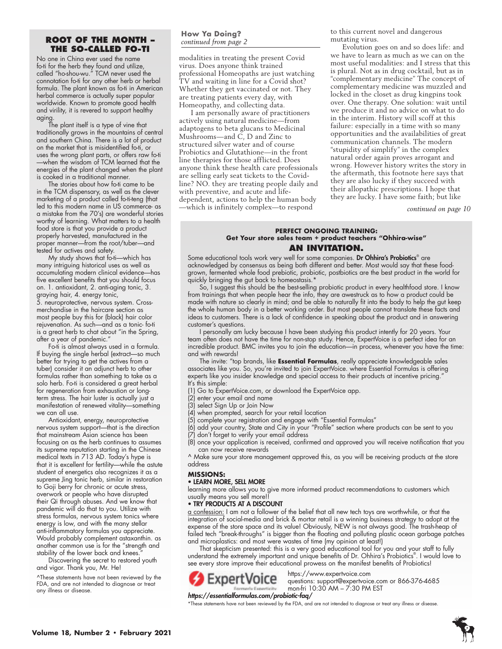# **ROOT OF THE MONTH – THE SO-CALLED FO-TI**

No one in China ever used the name fo-ti for the herb they found and utilize, called "ho-shou-wu." TCM never used the connotation fo-ti for any other herb or herbal formula. The plant known as fo-ti in American herbal commerce is actually super popular worldwide. Known to promote good health and virility, it is revered to support healthy aging.

The plant itself is a type of vine that traditionally grows in the mountains of central and southern China. There is a lot of product on the market that is misidentified fo-ti, or uses the wrong plant parts, or offers raw fo-ti —when the wisdom of TCM learned that the energies of the plant changed when the plant is cooked in a traditional manner.

The stories about how fo-ti came to be in the TCM dispensary, as well as the clever marketing of a product called fo-ti-teng (that led to this modern name in US commerce- as a mistake from the 70's) are wonderful stories worthy of learning. What matters to a health food store is that you provide a product properly harvested, manufactured in the proper manner—from the root/tuber—and tested for actives and safety.

My study shows that fo-ti—which has many intriguing historical uses as well as accumulating modern clinical evidence—has five excellent benefits that you should focus on. 1. antioxidant, 2. anti-aging tonic, 3. graying hair, 4. energy tonic, 5. neuroprotective, nervous system. Crossmerchandise in the haircare section as most people buy this for (black) hair color rejuvenation. As such—and as a tonic- fo-ti is a great herb to chat about "in the Spring, after a year of pandemic."

Fo-ti is almost always used in a formula. If buying the single herbal (extract—so much better for trying to get the actives from a tuber) consider it an adjunct herb to other formulas rather than something to take as a solo herb. Fo-ti is considered a great herbal for regeneration from exhaustion or longterm stress. The hair luster is actually just a manifestation of renewed vitality—something we can all use.

Antioxidant, energy, neuroprotective nervous system support—that is the direction that mainstream Asian science has been focusing on as the herb continues to assumes its supreme reputation starting in the Chinese medical texts in 713 AD. Today's hype is that it is excellent for fertility—while the astute student of energetics also recognizes it as a supreme Jing tonic herb, similar in restoration to Goji berry for chronic or acute stress, overwork or people who have disrupted their Qi through abuses. And we know that pandemic will do that to you. Utilize with stress formulas, nervous system tonics where energy is low, and with the many stellar anti-inflammatory formulas you appreciate. Would probably complement astaxanthin. as another common use is for the "strength and stability of the lower back and knees.

Discovering the secret to restored youth and vigor. Thank you, Mr. He!

^These statements have not been reviewed by the FDA, and are not intended to diagnose or treat any illness or disease.

### **How Ya Doing?** *continued from page 2*

modalities in treating the present Covid virus. Does anyone think trained professional Homeopaths are just watching TV and waiting in line for a Covid shot? Whether they get vaccinated or not. They are treating patients every day, with Homeopathy, and collecting data.

I am personally aware of practitioners actively using natural medicine—from adaptogens to beta glucans to Medicinal Mushrooms—and C, D and Zinc to structured silver water and of course Probiotics and Glutathione—in the front line therapies for those afflicted. Does anyone think these health care professionals are selling early seat tickets to the Covidline? NO. they are treating people daily and with preventive, and acute and lifedependent, actions to help the human body —which is infinitely complex—to respond

to this current novel and dangerous mutating virus.

Evolution goes on and so does life: and we have to learn as much as we can on the most useful modalities: and I stress that this is plural. Not as in drug cocktail, but as in "complementary medicine" The concept of complementary medicine was muzzled and locked in the closet as drug kingpins took over. One therapy. One solution: wait until we produce it and no advice on what to do in the interim. History will scoff at this failure: especially in a time with so many opportunities and the availabilities of great communication channels. The modern "stupidity of simplify" in the complex natural order again proves arrogant and wrong. However history writes the story in the aftermath, this footnote here says that they are also lucky if they succeed with their allopathic prescriptions. I hope that they are lucky. I have some faith; but like

*continued on page 10*

### **PERFECT ONGOING TRAINING: Get Your store sales team + product teachers "Ohhira-wise" AN INVITATION.**

Some educational tools work very well for some companies. Dr Ohhira's Probiotics<sup>®</sup> are acknowledged by consensus as being both different and better. Most would say that these foodgrown, fermented whole food prebiotic, probiotic, postbiotics are the best product in the world for quickly bringing the gut back to homeostasis.\*

So, I suggest this should be the best-selling probiotic product in every healthfood store. I know from trainings that when people hear the info, they are awestruck as to how a product could be made with nature so clearly in mind; and be able to naturally fit into the body to help the gut keep the whole human body in a better working order. But most people cannot translate these facts and ideas to customers. There is a lack of confidence in speaking about the product and in answering customer's questions.

I personally am lucky because I have been studying this product intently for 20 years. Your team often does not have the time for non-stop study. Hence, ExpertVoice is a perfect idea for an incredible product. BMC invites you to join the education—in process, whenever you have the time: and with rewards!

The invite: "top brands, like **Essential Formulas**, really appreciate knowledgeable sales associates like you. So, you're invited to join ExpertVoice. where Essential Formulas is offering experts like you insider knowledge and special access to their products at incentive pricing.' It's this simple:

- (1) Go to ExpertVoice.com, or download the ExpertVoice app.
- (2) enter your email and name
- (3) select Sign Up or Join Now
- (4) when prompted, search for your retail location
- (5) complete your registration and engage with "Essential Formulas"
- (6) add your country, State and City in your "Profile" section where products can be sent to you
- (7) don't forget to verify your email address
- (8) once your application is received, confirmed and approved you will receive notification that you can now receive rewards

^ Make sure your store management approved this, as you will be receiving products at the store address

### **MISSIONS:**

### • LEARN MORE, SELL MORE

learning more allows you to give more informed product recommendations to customers which usually means you sell more!!

### • TRY PRODUCTS AT A DISCOUNT

a confession: I am not a follower of the belief that all new tech toys are worthwhile, or that the integration of social-media and brick & mortar retail is a winning business strategy to adopt at the expense of the store space and its value! Obviously, NEW is not always good. The trash-heap of failed tech "break-throughs" is bigger than the floating and polluting plastic ocean garbage patches and microplastics: and most were wastes of time (my opinion at least!)

That skepticism presented: this is a very good educational tool for you and your staff to fully understand the extremely important and unique benefits of Dr. Ohhira's Probiotics® . I would love to see every store improve their educational prowess on the manifest benefits of Probiotics!



questions: support@expertvoice.com or 866-376-4685 mon-fri 10:30 AM – 7:30 PM EST

### *https://essentialformulas.com/probiotic-faq/*

\*These statements have not been reviewed by the FDA, and are not intended to diagnose or treat any illness or disease.